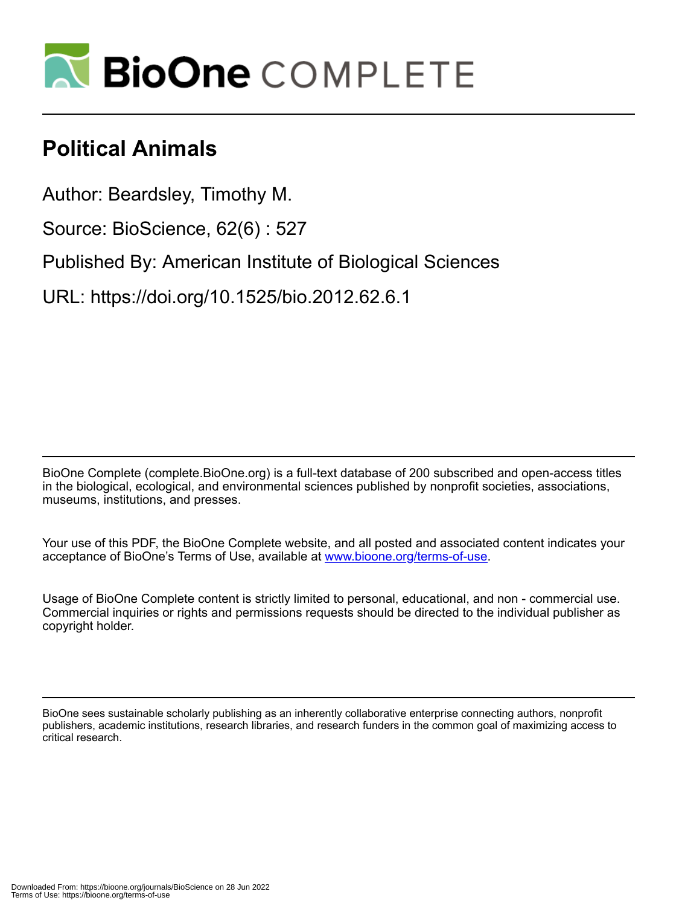

## **Political Animals**

Author: Beardsley, Timothy M. Source: BioScience, 62(6) : 527 Published By: American Institute of Biological Sciences URL: https://doi.org/10.1525/bio.2012.62.6.1

BioOne Complete (complete.BioOne.org) is a full-text database of 200 subscribed and open-access titles in the biological, ecological, and environmental sciences published by nonprofit societies, associations, museums, institutions, and presses.

Your use of this PDF, the BioOne Complete website, and all posted and associated content indicates your acceptance of BioOne's Terms of Use, available at www.bioone.org/terms-of-use.

Usage of BioOne Complete content is strictly limited to personal, educational, and non - commercial use. Commercial inquiries or rights and permissions requests should be directed to the individual publisher as copyright holder.

BioOne sees sustainable scholarly publishing as an inherently collaborative enterprise connecting authors, nonprofit publishers, academic institutions, research libraries, and research funders in the common goal of maximizing access to critical research.